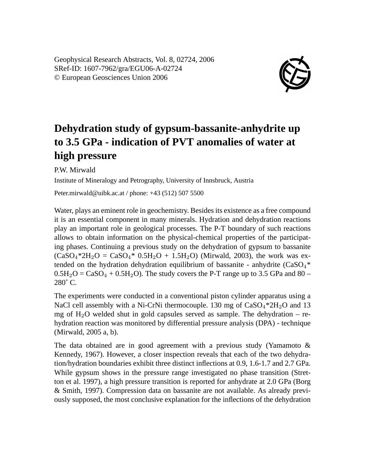Geophysical Research Abstracts, Vol. 8, 02724, 2006 SRef-ID: 1607-7962/gra/EGU06-A-02724 © European Geosciences Union 2006



## **Dehydration study of gypsum-bassanite-anhydrite up to 3.5 GPa - indication of PVT anomalies of water at high pressure**

P.W. Mirwald

Institute of Mineralogy and Petrography, University of Innsbruck, Austria

Peter.mirwald@uibk.ac.at / phone: +43 (512) 507 5500

Water, plays an eminent role in geochemistry. Besides its existence as a free compound it is an essential component in many minerals. Hydration and dehydration reactions play an important role in geological processes. The P-T boundary of such reactions allows to obtain information on the physical-chemical properties of the participating phases. Continuing a previous study on the dehydration of gypsum to bassanite  $(CaSO_4*2H_2O = CaSO_4* 0.5H_2O + 1.5H_2O)$  (Mirwald, 2003), the work was extended on the hydration dehydration equilibrium of bassanite - anhydrite  $(CaSO<sub>4</sub> *$  $0.5H_2O = CaSO_4 + 0.5H_2O$ . The study covers the P-T range up to 3.5 GPa and 80 – 280˚ C.

The experiments were conducted in a conventional piston cylinder apparatus using a NaCl cell assembly with a Ni-CrNi thermocouple. 130 mg of  $CaSO_4*2H_2O$  and 13 mg of  $H_2O$  welded shut in gold capsules served as sample. The dehydration – rehydration reaction was monitored by differential pressure analysis (DPA) - technique (Mirwald, 2005 a, b).

The data obtained are in good agreement with a previous study (Yamamoto & Kennedy, 1967). However, a closer inspection reveals that each of the two dehydration/hydration boundaries exhibit three distinct inflections at 0.9, 1.6-1.7 and 2.7 GPa. While gypsum shows in the pressure range investigated no phase transition (Stretton et al. 1997), a high pressure transition is reported for anhydrate at 2.0 GPa (Borg & Smith, 1997). Compression data on bassanite are not available. As already previously supposed, the most conclusive explanation for the inflections of the dehydration